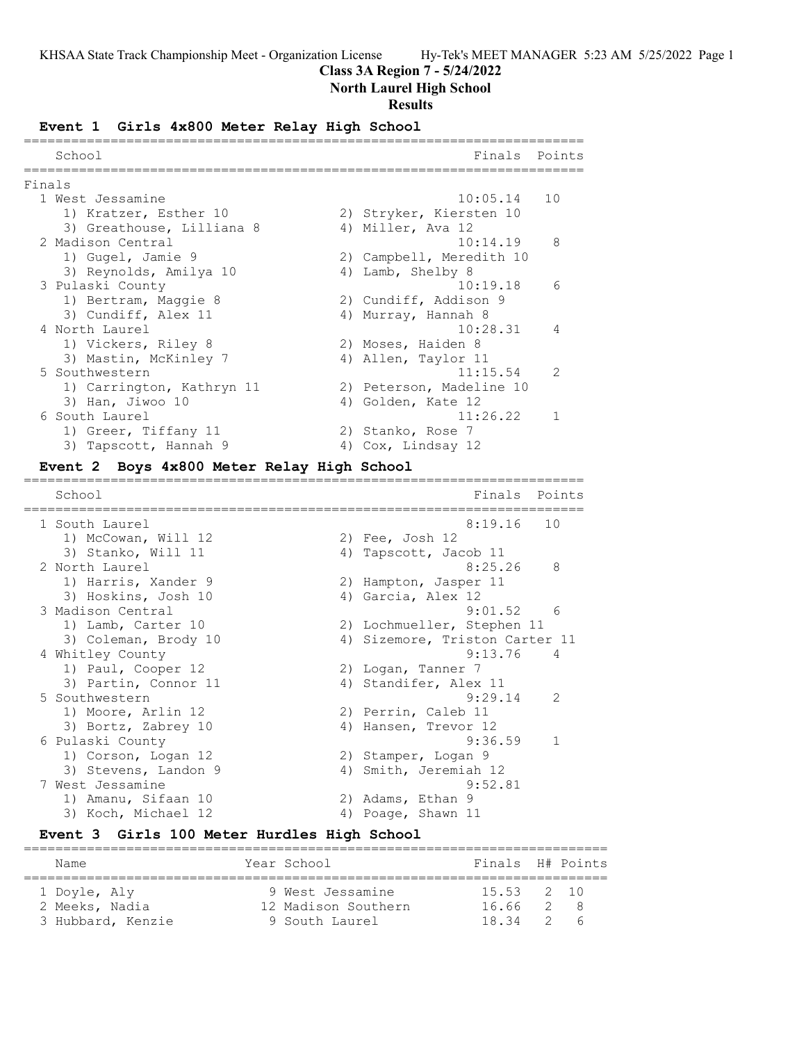# **Class 3A Region 7 - 5/24/2022**

## **North Laurel High School**

## **Results**

# **Event 1 Girls 4x800 Meter Relay High School**

|        | School                    | Finals                   | Points         |
|--------|---------------------------|--------------------------|----------------|
| Finals |                           |                          |                |
|        | 1 West Jessamine          | $10:05.14$ 10            |                |
|        |                           |                          |                |
|        | 1) Kratzer, Esther 10     | 2) Stryker, Kiersten 10  |                |
|        | 3) Greathouse, Lilliana 8 | 4) Miller, Ava 12        |                |
|        | 2 Madison Central         | 10:14.19                 | 8              |
|        | 1) Gugel, Jamie 9         | 2) Campbell, Meredith 10 |                |
|        | 3) Reynolds, Amilya 10    | 4) Lamb, Shelby 8        |                |
|        | 3 Pulaski County          | 10:19.18                 | 6              |
|        | 1) Bertram, Maggie 8      | 2) Cundiff, Addison 9    |                |
|        | 3) Cundiff, Alex 11       | 4) Murray, Hannah 8      |                |
|        | 4 North Laurel            | 10:28.31                 | - 4            |
|        | 1) Vickers, Riley 8       | 2) Moses, Haiden 8       |                |
|        | 3) Mastin, McKinley 7     | 4) Allen, Taylor 11      |                |
|        | 5 Southwestern            | 11:15.54                 | 2              |
|        | 1) Carrington, Kathryn 11 | 2) Peterson, Madeline 10 |                |
|        | 3) Han, Jiwoo 10          | 4) Golden, Kate 12       |                |
|        | 6 South Laurel            | 11:26.22                 | $\overline{1}$ |
|        | 1) Greer, Tiffany 11      | 2) Stanko, Rose 7        |                |
|        | 3) Tapscott, Hannah 9     | 4) Cox, Lindsay 12       |                |

### **Event 2 Boys 4x800 Meter Relay High School** =======================================================================

| School               |    | Finals<br>Points               |
|----------------------|----|--------------------------------|
| 1 South Laurel       |    | 8:19.16<br>10                  |
| 1) McCowan, Will 12  |    | 2) Fee, Josh 12                |
| 3) Stanko, Will 11   | 4) | Tapscott, Jacob 11             |
| 2 North Laurel       |    | 8:25.26<br>8                   |
| 1) Harris, Xander 9  |    | 2) Hampton, Jasper 11          |
| 3) Hoskins, Josh 10  |    | 4) Garcia, Alex 12             |
| 3 Madison Central    |    | 9:01.52<br>- 6                 |
| 1) Lamb, Carter 10   |    | 2) Lochmueller, Stephen 11     |
| 3) Coleman, Brody 10 |    | 4) Sizemore, Triston Carter 11 |
| 4 Whitley County     |    | 9:13.76<br>$\overline{4}$      |
| 1) Paul, Cooper 12   |    | 2) Logan, Tanner 7             |
| 3) Partin, Connor 11 |    | 4) Standifer, Alex 11          |
| 5 Southwestern       |    | $\mathcal{L}$<br>9:29.14       |
| 1) Moore, Arlin 12   |    | 2) Perrin, Caleb 11            |
| 3) Bortz, Zabrey 10  |    | 4) Hansen, Trevor 12           |
| 6 Pulaski County     |    | 9:36.59<br>$\mathbf{1}$        |
| 1) Corson, Logan 12  |    | 2) Stamper, Logan 9            |
| 3) Stevens, Landon 9 |    | 4) Smith, Jeremiah 12          |
| 7 West Jessamine     |    | 9:52.81                        |
| 1) Amanu, Sifaan 10  |    | 2) Adams, Ethan 9              |
| 3) Koch, Michael 12  |    | 4) Poage, Shawn 11             |

# **Event 3 Girls 100 Meter Hurdles High School**

| Name              | Year School         | Finals H# Points |     |        |
|-------------------|---------------------|------------------|-----|--------|
| 1 Doyle, Aly      | 9 West Jessamine    | $15.53$ 2 10     |     |        |
| 2 Meeks, Nadia    | 12 Madison Southern | 16.66 2 8        |     |        |
| 3 Hubbard, Kenzie | 9 South Laurel      | 1834             | -2. | $\sim$ |

==========================================================================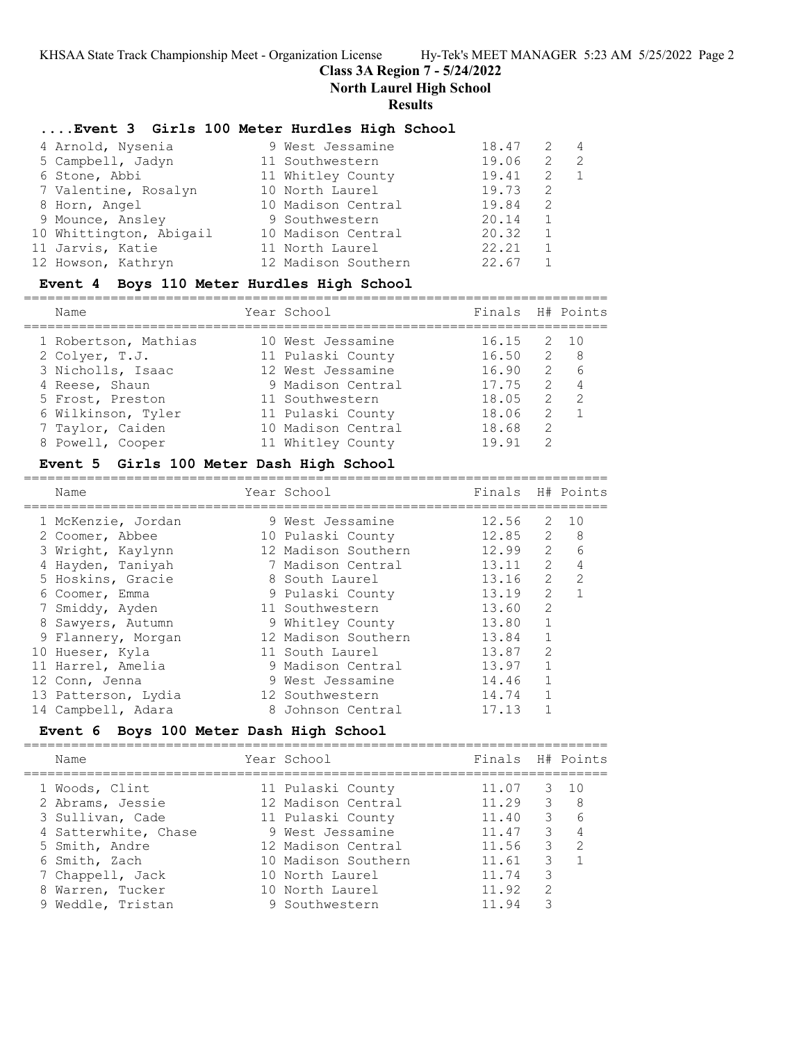==========================================================================

### **Class 3A Region 7 - 5/24/2022**

**North Laurel High School**

### **Results**

### **....Event 3 Girls 100 Meter Hurdles High School**

| 4 Arnold, Nysenia       | 9 West Jessamine    | 18.47 | 2 | 4  |
|-------------------------|---------------------|-------|---|----|
| 5 Campbell, Jadyn       | 11 Southwestern     | 19.06 | 2 | -2 |
| 6 Stone, Abbi           | 11 Whitley County   | 19.41 | 2 |    |
| 7 Valentine, Rosalyn    | 10 North Laurel     | 19.73 | 2 |    |
| 8 Horn, Angel           | 10 Madison Central  | 19.84 | 2 |    |
| 9 Mounce, Ansley        | 9 Southwestern      | 20.14 | 1 |    |
| 10 Whittington, Abigail | 10 Madison Central  | 20.32 |   |    |
| 11 Jarvis, Katie        | 11 North Laurel     | 22.21 |   |    |
| 12 Howson, Kathryn      | 12 Madison Southern | 22.67 |   |    |

### **Event 4 Boys 110 Meter Hurdles High School**

========================================================================== Name Year School Finals H# Points ========================================================================== 1 Robertson, Mathias 10 West Jessamine 16.15 2 10 2 Colyer, T.J. 11 Pulaski County 16.50 2 8 3 Nicholls, Isaac 12 West Jessamine 16.90 2 6 4 Reese, Shaun 9 Madison Central 17.75 2 4 5 Frost, Preston 11 Southwestern 18.05 2 2 6 Wilkinson, Tyler 11 Pulaski County 18.06 2 1 7 Taylor, Caiden 10 Madison Central 18.68 2 8 Powell, Cooper 11 Whitley County 19.91 2

### **Event 5 Girls 100 Meter Dash High School**

| Name                | Year School         | Finals H# Points |               |                  |
|---------------------|---------------------|------------------|---------------|------------------|
| 1 McKenzie, Jordan  | 9 West Jessamine    | 12.56            | 2             | 10               |
| 2 Coomer, Abbee     | 10 Pulaski County   | 12.85            | 2             | - 8              |
| 3 Wright, Kaylynn   | 12 Madison Southern | 12.99            |               | $2^{\circ}$<br>6 |
| 4 Hayden, Taniyah   | 7 Madison Central   | 13.11            | 2             | 4                |
| 5 Hoskins, Gracie   | 8 South Laurel      | 13.16            | 2             | $\mathcal{L}$    |
| 6 Coomer, Emma      | 9 Pulaski County    | 13.19            | $\mathcal{L}$ |                  |
| 7 Smiddy, Ayden     | 11 Southwestern     | 13.60            | 2             |                  |
| 8 Sawyers, Autumn   | 9 Whitley County    | 13.80            |               |                  |
| 9 Flannery, Morgan  | 12 Madison Southern | 13.84            |               |                  |
| 10 Hueser, Kyla     | 11 South Laurel     | 13.87            | $\mathcal{L}$ |                  |
| 11 Harrel, Amelia   | 9 Madison Central   | 13.97            |               |                  |
| 12 Conn, Jenna      | 9 West Jessamine    | 14.46            |               |                  |
| 13 Patterson, Lydia | 12 Southwestern     | 14.74            |               |                  |
| 14 Campbell, Adara  | 8 Johnson Central   | 17.13            |               |                  |

**Event 6 Boys 100 Meter Dash High School** ========================================================================== Name Year School Finals H# Points ========================================================================== 1 Woods, Clint 11 Pulaski County 11.07 3 10 2 Abrams, Jessie 12 Madison Central 11.29 3 8 3 Sullivan, Cade 11 Pulaski County 11.40 3 6 4 Satterwhite, Chase 9 West Jessamine 11.47 3 4 5 Smith, Andre 12 Madison Central 11.56 3 2 6 Smith, Zach 10 Madison Southern 11.61 3 1 7 Chappell, Jack 10 North Laurel 11.74 3 8 Warren, Tucker 10 North Laurel 11.92 2 9 Weddle, Tristan 9 Southwestern 11.94 3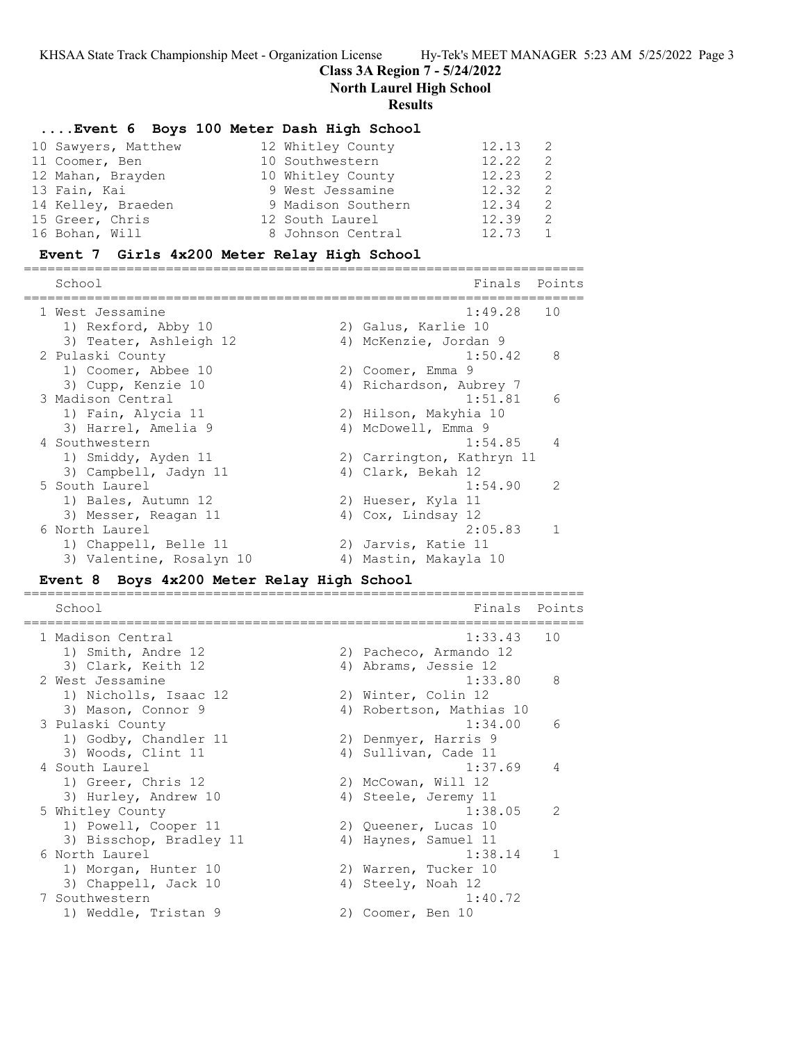**Class 3A Region 7 - 5/24/2022**

**North Laurel High School**

### **Results**

### **....Event 6 Boys 100 Meter Dash High School**

| 10 Sawyers, Matthew | 12 Whitley County  | 12.13<br>$\overline{2}$ |     |
|---------------------|--------------------|-------------------------|-----|
| 11 Coomer, Ben      | 10 Southwestern    | 12.22                   | -2  |
| 12 Mahan, Brayden   | 10 Whitley County  | 12.23                   | - 2 |
| 13 Fain, Kai        | 9 West Jessamine   | 12.32                   | - 2 |
| 14 Kelley, Braeden  | 9 Madison Southern | 12.34                   | - 2 |
| 15 Greer, Chris     | 12 South Laurel    | 12.39                   | -2  |
| 16 Bohan, Will      | 8 Johnson Central  | 12.73                   | 1   |

### **Event 7 Girls 4x200 Meter Relay High School**

======================================================================= School **Finals** Points ======================================================================= 1 West Jessamine 1:49.28 10 1) Rexford, Abby 10 2) Galus, Karlie 10 3) Teater, Ashleigh 12 4) McKenzie, Jordan 9 2 Pulaski County 1:50.42 8 1) Coomer, Abbee 10 2) Coomer, Emma 9 3) Cupp, Kenzie 10 4) Richardson, Aubrey 7 3 Madison Central 2008 and 2008 1:51.81 6 1) Fain, Alycia 11 2) Hilson, Makyhia 10 3) Harrel, Amelia 9 4) McDowell, Emma 9 4 Southwestern 1:54.85 4 1) Smiddy, Ayden 11 2) Carrington, Kathryn 11 3) Campbell, Jadyn 11 (4) Clark, Bekah 12 5 South Laurel 1:54.90 2 1) Bales, Autumn 12 2) Hueser, Kyla 11 3) Messer, Reagan 11 4) Cox, Lindsay 12 6 North Laurel 2:05.83 1 1) Chappell, Belle 11 2) Jarvis, Katie 11 3) Valentine, Rosalyn 10 4) Mastin, Makayla 10

### **Event 8 Boys 4x200 Meter Relay High School**

======================================================================= School **Finals** Points ======================================================================= 1 Madison Central 1:33.43 10 1) Smith, Andre 12 2) Pacheco, Armando 12 3) Clark, Keith 12 (4) Abrams, Jessie 12 2 West Jessamine 1:33.80 8 1) Nicholls, Isaac 12 2) Winter, Colin 12 3) Mason, Connor 9 4) Robertson, Mathias 10 3 Pulaski County 1:34.00 6 1) Godby, Chandler 11 2) Denmyer, Harris 9 3) Woods, Clint 11 4) Sullivan, Cade 11 4 South Laurel 1:37.69 4 1) Greer, Chris 12 2) McCowan, Will 12 3) Hurley, Andrew 10 (4) Steele, Jeremy 11 5 Whitley County 1:38.05 2 1) Powell, Cooper 11 2) Queener, Lucas 10 3) Bisschop, Bradley 11 (4) Haynes, Samuel 11 6 North Laurel 1:38.14 1 1) Morgan, Hunter 10  $\hskip1cm 2)$  Warren, Tucker 10 3) Chappell, Jack 10 4) Steely, Noah 12 7 Southwestern 1:40.72 1) Weddle, Tristan 9 2) Coomer, Ben 10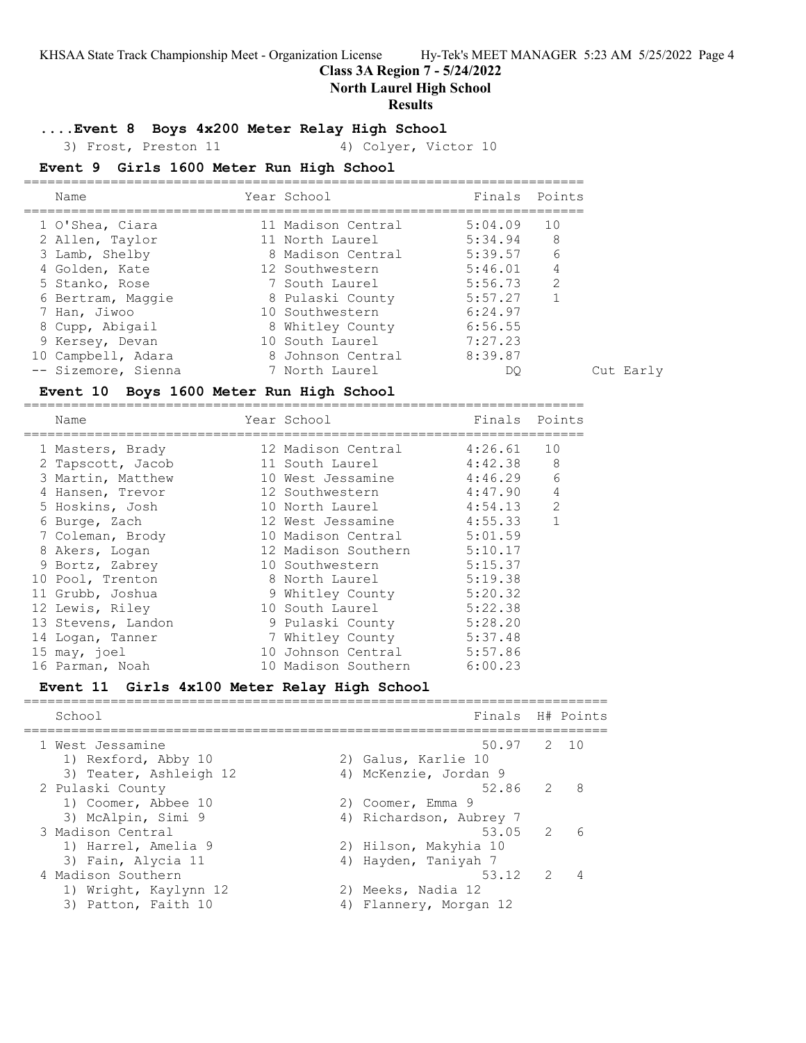Cut Early

### **Class 3A Region 7 - 5/24/2022**

**North Laurel High School**

### **Results**

### **....Event 8 Boys 4x200 Meter Relay High School**

3) Frost, Preston 11 4) Colyer, Victor 10

### **Event 9 Girls 1600 Meter Run High School**

| Name                | Year School        | Finals Points |               |
|---------------------|--------------------|---------------|---------------|
| 1 O'Shea, Ciara     | 11 Madison Central | 5:04.09       | 10            |
| 2 Allen, Taylor     | 11 North Laurel    | 5:34.94       | - 8           |
| 3 Lamb, Shelby      | 8 Madison Central  | 5:39.57       | 6             |
| 4 Golden, Kate      | 12 Southwestern    | 5:46.01       | 4             |
| 5 Stanko, Rose      | 7 South Laurel     | 5:56.73       | $\mathcal{D}$ |
| 6 Bertram, Maggie   | 8 Pulaski County   | 5:57.27       |               |
| 7 Han, Jiwoo        | 10 Southwestern    | 6:24.97       |               |
| 8 Cupp, Abigail     | 8 Whitley County   | 6:56.55       |               |
| 9 Kersey, Devan     | 10 South Laurel    | 7:27.23       |               |
| 10 Campbell, Adara  | 8 Johnson Central  | 8:39.87       |               |
| -- Sizemore, Sienna | 7 North Laurel     | DQ.           |               |

### **Event 10 Boys 1600 Meter Run High School**

======================================================================= Name **The School School** Finals Points ======================================================================= 1 Masters, Brady 12 Madison Central 4:26.61 10 2 Tapscott, Jacob 11 South Laurel 4:42.38 8 3 Martin, Matthew 10 West Jessamine 4:46.29 6 4 Hansen, Trevor 12 Southwestern 4:47.90 4 5 Hoskins, Josh 10 North Laurel 4:54.13 2 6 Burge, Zach 12 West Jessamine 4:55.33 1 7 Coleman, Brody 10 Madison Central 5:01.59 8 Akers, Logan 12 Madison Southern 5:10.17 9 Bortz, Zabrey 10 Southwestern 5:15.37 10 Pool, Trenton 8 North Laurel 5:19.38 11 Grubb, Joshua 9 Whitley County 5:20.32 12 Lewis, Riley 10 South Laurel 5:22.38 13 Stevens, Landon 9 Pulaski County 5:28.20 14 Logan, Tanner 7 Whitley County 5:37.48 15 may, joel 10 Johnson Central 5:57.86 16 Parman, Noah 10 Madison Southern 6:00.23

### **Event 11 Girls 4x100 Meter Relay High School**

| School                                  | Finals H# Points                  |     |
|-----------------------------------------|-----------------------------------|-----|
| 1 West Jessamine<br>1) Rexford, Abby 10 | 50.97 2 10<br>2) Galus, Karlie 10 |     |
| 3) Teater, Ashleigh 12                  | 4) McKenzie, Jordan 9             |     |
| 2 Pulaski County                        | 52.86 2                           | - 8 |
| 1) Coomer, Abbee 10                     | 2) Coomer, Emma 9                 |     |
| 3) McAlpin, Simi 9                      | 4) Richardson, Aubrey 7           |     |
| 3 Madison Central                       | 53.05 2 6                         |     |
| 1) Harrel, Amelia 9                     | 2) Hilson, Makyhia 10             |     |
| 3) Fain, Alycia 11                      | 4) Hayden, Taniyah 7              |     |
| 4 Madison Southern                      | $53.12$ 2                         |     |
| 1) Wright, Kaylynn 12                   | 2) Meeks, Nadia 12                |     |
| 3) Patton, Faith 10                     | 4) Flannery, Morgan 12            |     |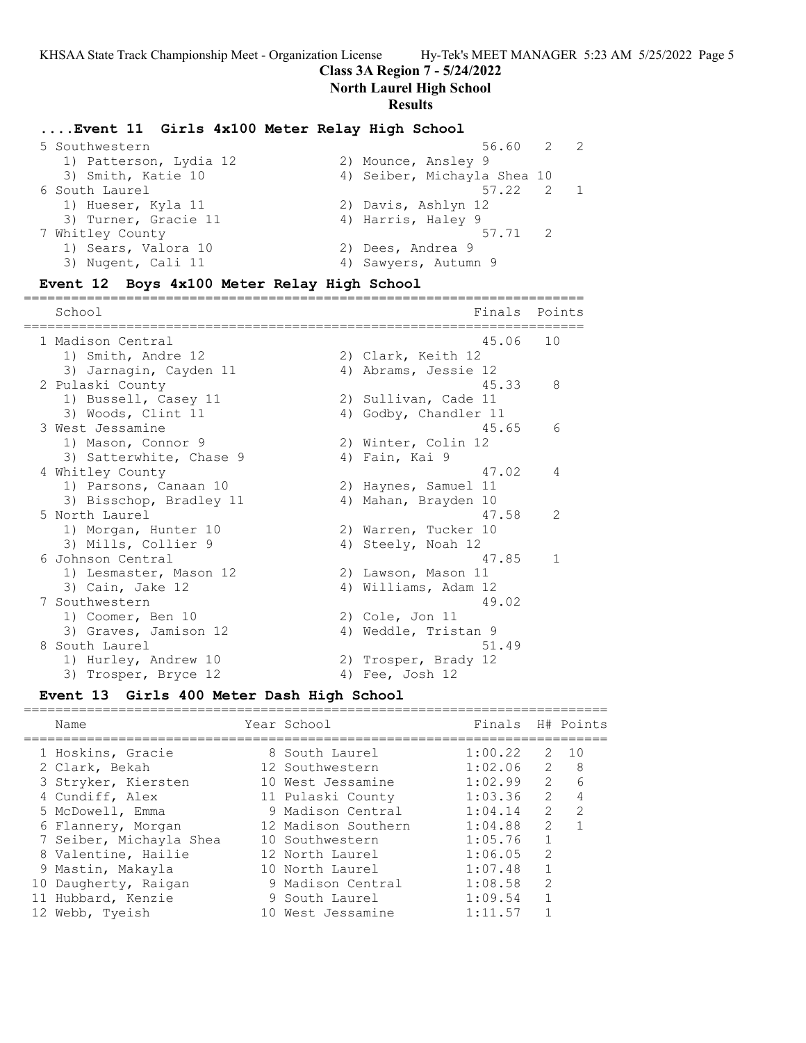# **Class 3A Region 7 - 5/24/2022**

**North Laurel High School**

## **Results**

# **....Event 11 Girls 4x100 Meter Relay High School**

| 5 Southwestern         | 56.60 2                     | $\overline{2}$ |
|------------------------|-----------------------------|----------------|
| 1) Patterson, Lydia 12 | 2) Mounce, Ansley 9         |                |
| 3) Smith, Katie 10     | 4) Seiber, Michayla Shea 10 |                |
| 6 South Laurel         | 57.22 2 1                   |                |
| 1) Hueser, Kyla 11     | 2) Davis, Ashlyn 12         |                |
| 3) Turner, Gracie 11   | 4) Harris, Haley 9          |                |
| 7 Whitley County       | $\overline{2}$<br>57.71     |                |
| 1) Sears, Valora 10    | 2) Dees, Andrea 9           |                |
| 3) Nugent, Cali 11     | 4) Sawyers, Autumn 9        |                |
|                        |                             |                |

# **Event 12 Boys 4x100 Meter Relay High School**

| School                  | Finals                | Points        |
|-------------------------|-----------------------|---------------|
| 1 Madison Central       | 45.06                 | 1 O           |
| 1) Smith, Andre 12      | 2) Clark, Keith 12    |               |
| 3) Jarnagin, Cayden 11  | 4) Abrams, Jessie 12  |               |
| 2 Pulaski County        | 45.33                 | 8             |
| 1) Bussell, Casey 11    | 2) Sullivan, Cade 11  |               |
| 3) Woods, Clint 11      | 4) Godby, Chandler 11 |               |
| 3 West Jessamine        | 45.65                 | 6             |
| 1) Mason, Connor 9      | 2) Winter, Colin 12   |               |
| 3) Satterwhite, Chase 9 | 4) Fain, Kai 9        |               |
| 4 Whitley County        | 47.02                 | 4             |
| 1) Parsons, Canaan 10   | 2) Haynes, Samuel 11  |               |
| 3) Bisschop, Bradley 11 | 4) Mahan, Brayden 10  |               |
| 5 North Laurel          | 47.58                 | $\mathcal{L}$ |
| 1) Morgan, Hunter 10    | 2) Warren, Tucker 10  |               |
| 3) Mills, Collier 9     | 4) Steely, Noah 12    |               |
| 6 Johnson Central       | 47.85                 | $\mathbf{1}$  |
| 1) Lesmaster, Mason 12  | 2) Lawson, Mason 11   |               |
| 3) Cain, Jake 12        | 4) Williams, Adam 12  |               |
| 7 Southwestern          | 49.02                 |               |
| 1) Coomer, Ben 10       | 2) Cole, Jon 11       |               |
| 3) Graves, Jamison 12   | 4) Weddle, Tristan 9  |               |
| 8 South Laurel          | 51.49                 |               |
| 1) Hurley, Andrew 10    | 2) Trosper, Brady 12  |               |
| 3) Trosper, Bryce 12    | 4) Fee, Josh 12       |               |

# **Event 13 Girls 400 Meter Dash High School**

| Name                    | Year School         | Finals  |               | H# Points     |
|-------------------------|---------------------|---------|---------------|---------------|
| 1 Hoskins, Gracie       | 8 South Laurel      | 1:00.22 | 2             | 10            |
| 2 Clark, Bekah          | 12 Southwestern     | 1:02.06 | $\mathcal{L}$ | 8             |
| 3 Stryker, Kiersten     | 10 West Jessamine   | 1:02.99 | 2             | 6             |
| 4 Cundiff, Alex         | 11 Pulaski County   | 1:03.36 | $\mathcal{L}$ | 4             |
| 5 McDowell, Emma        | 9 Madison Central   | 1:04.14 | $\mathcal{P}$ | $\mathcal{P}$ |
| 6 Flannery, Morgan      | 12 Madison Southern | 1:04.88 | $\mathcal{P}$ |               |
| 7 Seiber, Michayla Shea | 10 Southwestern     | 1:05.76 |               |               |
| 8 Valentine, Hailie     | 12 North Laurel     | 1:06.05 | $\mathcal{P}$ |               |
| 9 Mastin, Makayla       | 10 North Laurel     | 1:07.48 |               |               |
| 10 Daugherty, Raigan    | 9 Madison Central   | 1:08.58 | $\mathcal{L}$ |               |
| 11 Hubbard, Kenzie      | 9 South Laurel      | 1:09.54 |               |               |
| 12 Webb, Tyeish         | 10 West Jessamine   | 1:11.57 |               |               |
|                         |                     |         |               |               |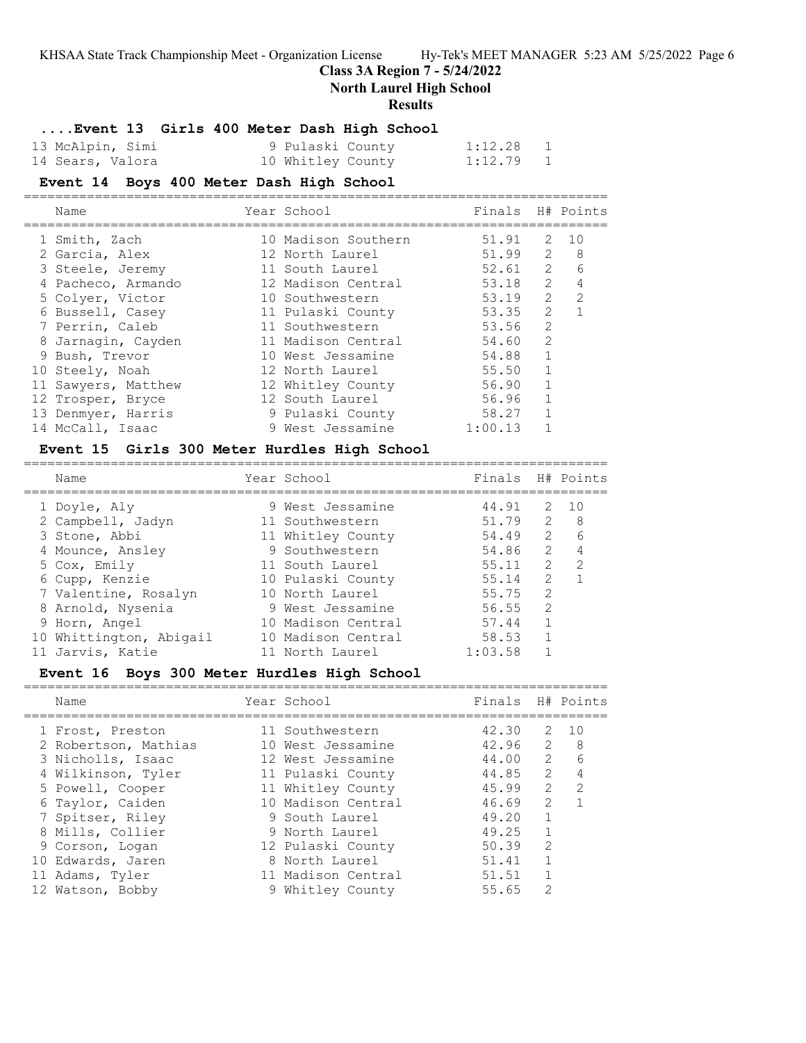# **Class 3A Region 7 - 5/24/2022**

**North Laurel High School**

### **Results**

## **....Event 13 Girls 400 Meter Dash High School**

| 13 McAlpin, Simi | 9 Pulaski County  | $1:12.28$ 1 |                |
|------------------|-------------------|-------------|----------------|
| 14 Sears, Valora | 10 Whitley County | 1:12.79     | $\overline{1}$ |

### **Event 14 Boys 400 Meter Dash High School**

| Name                | Year School         | Finals H# Points |                |                |
|---------------------|---------------------|------------------|----------------|----------------|
| 1 Smith, Zach       | 10 Madison Southern | 51.91            | 2              | 1 O            |
| 2 Garcia, Alex      | 12 North Laurel     | 51.99            | 2              | 8              |
| 3 Steele, Jeremy    | 11 South Laurel     | 52.61            | 2              | 6              |
| 4 Pacheco, Armando  | 12 Madison Central  | 53.18            | 2              | $\overline{4}$ |
| 5 Colyer, Victor    | 10 Southwestern     | 53.19            | $\overline{2}$ | $\mathcal{L}$  |
| 6 Bussell, Casey    | 11 Pulaski County   | 53.35            | $\mathcal{L}$  |                |
| 7 Perrin, Caleb     | 11 Southwestern     | 53.56            | 2              |                |
| 8 Jarnagin, Cayden  | 11 Madison Central  | 54.60            | 2              |                |
| 9 Bush, Trevor      | 10 West Jessamine   | 54.88            | $\mathbf{1}$   |                |
| 10 Steely, Noah     | 12 North Laurel     | 55.50            | 1              |                |
| 11 Sawyers, Matthew | 12 Whitley County   | 56.90            |                |                |
| 12 Trosper, Bryce   | 12 South Laurel     | 56.96            | $\mathbf{1}$   |                |
| 13 Denmyer, Harris  | 9 Pulaski County    | 58.27            | $\mathbf{1}$   |                |
| 14 McCall, Isaac    | 9 West Jessamine    | 1:00.13          |                |                |

### **Event 15 Girls 300 Meter Hurdles High School**

| Name                    |  |                                                                                                                                                                                                                                         |               |                       |
|-------------------------|--|-----------------------------------------------------------------------------------------------------------------------------------------------------------------------------------------------------------------------------------------|---------------|-----------------------|
| 1 Doyle, Aly            |  | 44.91                                                                                                                                                                                                                                   |               | 10                    |
| 2 Campbell, Jadyn       |  | 51.79                                                                                                                                                                                                                                   | $\mathcal{L}$ | - 8                   |
| 3 Stone, Abbi           |  | 54.49                                                                                                                                                                                                                                   | $\mathcal{L}$ | 6                     |
| 4 Mounce, Ansley        |  | 54.86                                                                                                                                                                                                                                   | $\mathcal{L}$ | 4                     |
| 5 Cox, Emily            |  | 55.11                                                                                                                                                                                                                                   | $\mathcal{L}$ | $\mathcal{L}$         |
| 6 Cupp, Kenzie          |  | 55.14                                                                                                                                                                                                                                   | $\mathcal{P}$ |                       |
| 7 Valentine, Rosalyn    |  | 55.75                                                                                                                                                                                                                                   | $\mathcal{L}$ |                       |
| 8 Arnold, Nysenia       |  | 56.55                                                                                                                                                                                                                                   | $\mathcal{L}$ |                       |
| 9 Horn, Angel           |  | 57.44                                                                                                                                                                                                                                   |               |                       |
| 10 Whittington, Abigail |  | 58.53                                                                                                                                                                                                                                   |               |                       |
| 11 Jarvis, Katie        |  | 1:03.58                                                                                                                                                                                                                                 |               |                       |
|                         |  | Year School<br>9 West Jessamine<br>11 Southwestern<br>11 Whitley County<br>9 Southwestern<br>11 South Laurel<br>10 Pulaski County<br>10 North Laurel<br>9 West Jessamine<br>10 Madison Central<br>10 Madison Central<br>11 North Laurel |               | Finals H# Points<br>2 |

## **Event 16 Boys 300 Meter Hurdles High School**

| Name                 | Year School        | Finals |                | H# Points      |
|----------------------|--------------------|--------|----------------|----------------|
| 1 Frost, Preston     | 11 Southwestern    | 42.30  | 2              | 1 O            |
| 2 Robertson, Mathias | 10 West Jessamine  | 42.96  | $\overline{2}$ | 8              |
| 3 Nicholls, Isaac    | 12 West Jessamine  | 44.00  |                | 265            |
| 4 Wilkinson, Tyler   | 11 Pulaski County  | 44.85  | 2              | $\overline{4}$ |
| 5 Powell, Cooper     | 11 Whitley County  | 45.99  | $\mathcal{L}$  | $\overline{2}$ |
| 6 Taylor, Caiden     | 10 Madison Central | 46.69  | $\mathcal{L}$  |                |
| 7 Spitser, Riley     | 9 South Laurel     | 49.20  |                |                |
| 8 Mills, Collier     | 9 North Laurel     | 49.25  | $\mathbf{1}$   |                |
| 9 Corson, Logan      | 12 Pulaski County  | 50.39  | $\mathcal{L}$  |                |
| 10 Edwards, Jaren    | 8 North Laurel     | 51.41  |                |                |
| 11 Adams, Tyler      | 11 Madison Central | 51.51  |                |                |
| 12 Watson, Bobby     | 9 Whitley County   | 55.65  | $\mathcal{P}$  |                |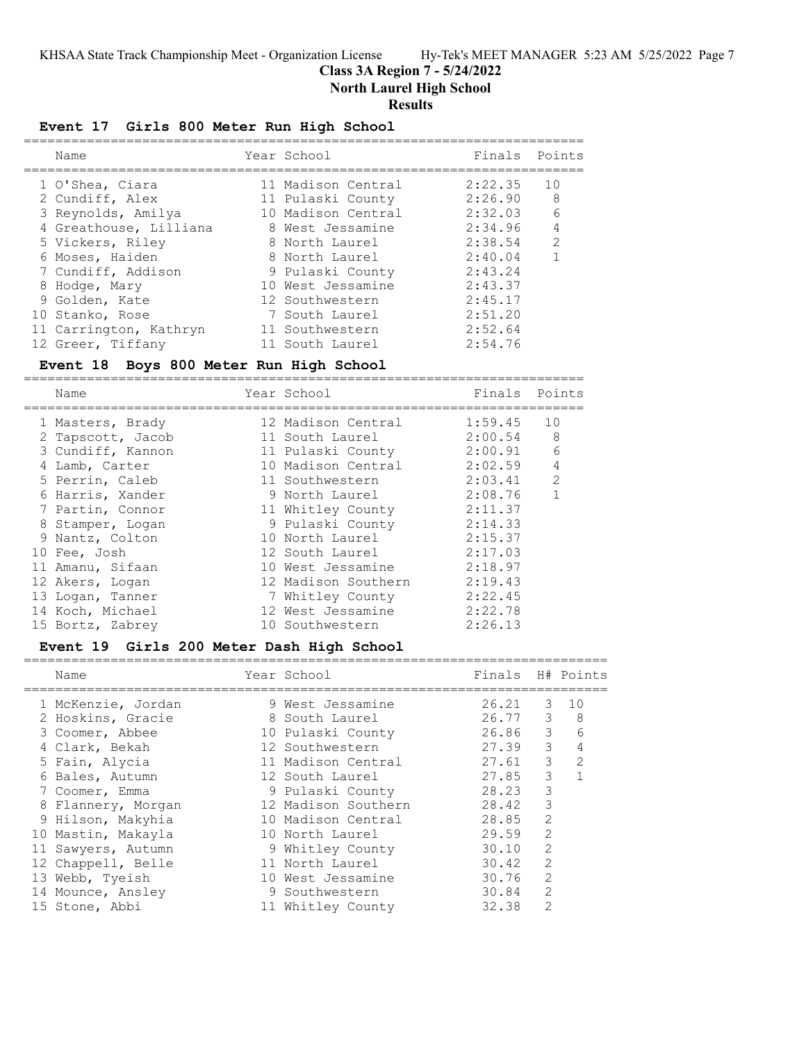==========================================================================

**Class 3A Region 7 - 5/24/2022**

**North Laurel High School**

## **Results**

# **Event 17 Girls 800 Meter Run High School**

| Name                   | Year School        | Finals  | Points         |
|------------------------|--------------------|---------|----------------|
| 1 O'Shea, Ciara        | 11 Madison Central | 2:22.35 | 10             |
| 2 Cundiff, Alex        | 11 Pulaski County  | 2:26.90 | 8 <sup>8</sup> |
| 3 Reynolds, Amilya     | 10 Madison Central | 2:32.03 | 6              |
| 4 Greathouse, Lilliana | 8 West Jessamine   | 2:34.96 | $\overline{4}$ |
| 5 Vickers, Riley       | 8 North Laurel     | 2:38.54 | $\mathcal{L}$  |
| 6 Moses, Haiden        | 8 North Laurel     | 2:40.04 |                |
| 7 Cundiff, Addison     | 9 Pulaski County   | 2:43.24 |                |
| 8 Hodge, Mary          | 10 West Jessamine  | 2:43.37 |                |
| 9 Golden, Kate         | 12 Southwestern    | 2:45.17 |                |
| 10 Stanko, Rose        | 7 South Laurel     | 2:51.20 |                |
| 11 Carrington, Kathryn | 11 Southwestern    | 2:52.64 |                |
| 12 Greer, Tiffany      | 11 South Laurel    | 2:54.76 |                |

## **Event 18 Boys 800 Meter Run High School**

=======================================================================

| Name              | Year School         | Finals  | Points       |
|-------------------|---------------------|---------|--------------|
| 1 Masters, Brady  | 12 Madison Central  | 1:59.45 | 10           |
| 2 Tapscott, Jacob | 11 South Laurel     | 2:00.54 | 8            |
| 3 Cundiff, Kannon | 11 Pulaski County   | 2:00.91 | 6            |
| 4 Lamb, Carter    | 10 Madison Central  | 2:02.59 | 4            |
| 5 Perrin, Caleb   | 11 Southwestern     | 2:03.41 | 2            |
| 6 Harris, Xander  | 9 North Laurel      | 2:08.76 | $\mathbf{1}$ |
| 7 Partin, Connor  | 11 Whitley County   | 2:11.37 |              |
| 8 Stamper, Logan  | 9 Pulaski County    | 2:14.33 |              |
| 9 Nantz, Colton   | 10 North Laurel     | 2:15.37 |              |
| 10 Fee, Josh      | 12 South Laurel     | 2:17.03 |              |
| 11 Amanu, Sifaan  | 10 West Jessamine   | 2:18.97 |              |
| 12 Akers, Logan   | 12 Madison Southern | 2:19.43 |              |
| 13 Logan, Tanner  | 7 Whitley County    | 2:22.45 |              |
| 14 Koch, Michael  | 12 West Jessamine   | 2:22.78 |              |
| 15 Bortz, Zabrey  | 10 Southwestern     | 2:26.13 |              |

# **Event 19 Girls 200 Meter Dash High School**

| Name               | Year School         | Finals H# Points |                          |    |
|--------------------|---------------------|------------------|--------------------------|----|
| 1 McKenzie, Jordan | 9 West Jessamine    | 26.21            | 3                        | 10 |
| 2 Hoskins, Gracie  | 8 South Laurel      | 26.77            | 3                        | 8  |
| 3 Coomer, Abbee    | 10 Pulaski County   | 26.86            | $\mathcal{S}$            | 6  |
| 4 Clark, Bekah     | 12 Southwestern     | 27.39            | 3                        | 4  |
| 5 Fain, Alycia     | 11 Madison Central  | 27.61            | 3                        | 2  |
| 6 Bales, Autumn    | 12 South Laurel     | 27.85            | 3                        |    |
| 7 Coomer, Emma     | 9 Pulaski County    | 28.23            | 3                        |    |
| 8 Flannery, Morgan | 12 Madison Southern | 28.42            | $\overline{\phantom{a}}$ |    |
| 9 Hilson, Makyhia  | 10 Madison Central  | 28.85            | 2                        |    |
| 10 Mastin, Makayla | 10 North Laurel     | 29.59            | $\mathcal{L}$            |    |
| 11 Sawyers, Autumn | 9 Whitley County    | 30.10            | $\mathcal{L}$            |    |
| 12 Chappell, Belle | 11 North Laurel     | 30.42            | 2                        |    |
| 13 Webb, Tyeish    | 10 West Jessamine   | 30.76            | $\mathcal{L}$            |    |
| 14 Mounce, Ansley  | 9 Southwestern      | 30.84            | $\mathcal{L}$            |    |
| 15 Stone, Abbi     | 11 Whitley County   | 32.38            | $\mathcal{D}$            |    |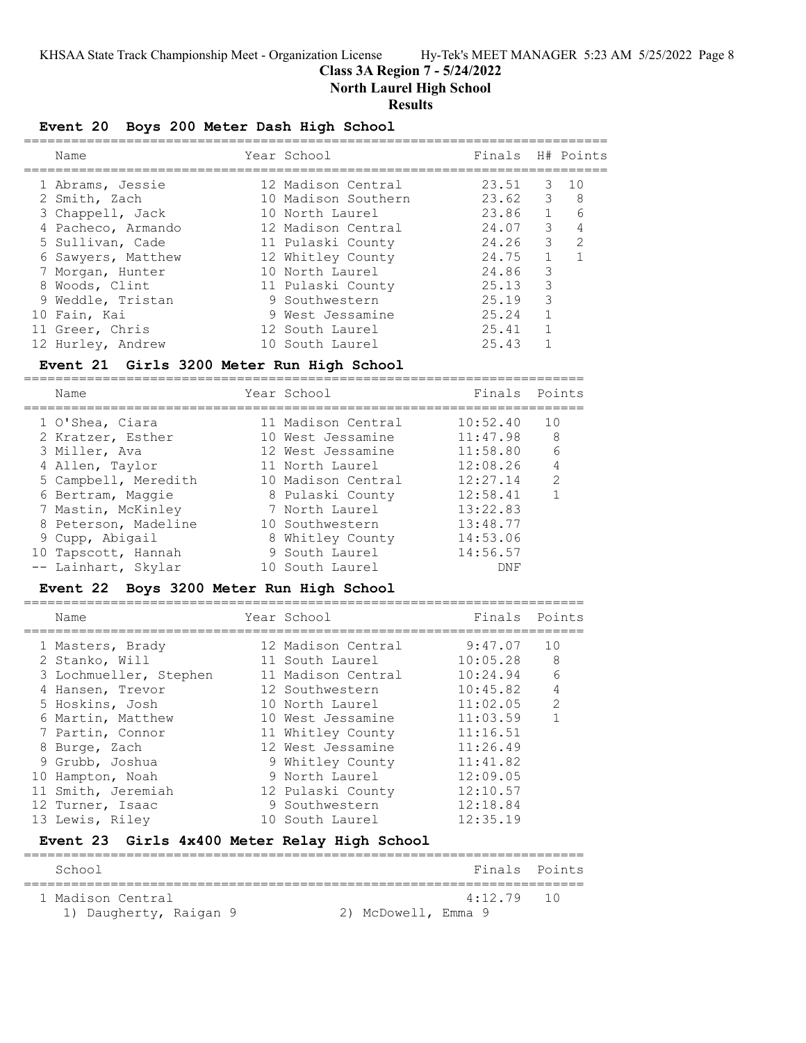# **Class 3A Region 7 - 5/24/2022**

**North Laurel High School**

# **Results**

# **Event 20 Boys 200 Meter Dash High School**

| Name               | Year School         | Finals H# Points |                |                |
|--------------------|---------------------|------------------|----------------|----------------|
| 1 Abrams, Jessie   | 12 Madison Central  | 23.51            |                | $-3$ 10        |
| 2 Smith, Zach      | 10 Madison Southern | $23.62$ 3 8      |                |                |
| 3 Chappell, Jack   | 10 North Laurel     | 23.86 1          |                | 6              |
| 4 Pacheco, Armando | 12 Madison Central  | 24.07 3          |                | $\overline{4}$ |
| 5 Sullivan, Cade   | 11 Pulaski County   | $24.26$ 3        |                | $\overline{2}$ |
| 6 Sawyers, Matthew | 12 Whitley County   | 24.75            | $\overline{1}$ |                |
| 7 Morgan, Hunter   | 10 North Laurel     | 24.86            | 3              |                |
| 8 Woods, Clint     | 11 Pulaski County   | 25.13            | 3              |                |
| 9 Weddle, Tristan  | 9 Southwestern      | 25.19            | 3              |                |
| 10 Fain, Kai       | 9 West Jessamine    | 25.24            |                |                |
| 11 Greer, Chris    | 12 South Laurel     | 25.41            |                |                |
| 12 Hurley, Andrew  | 10 South Laurel     | 25.43            |                |                |

### **Event 21 Girls 3200 Meter Run High School**

=======================================================================

| Name                 | Year School        | Finals Points |                |
|----------------------|--------------------|---------------|----------------|
| 1 O'Shea, Ciara      | 11 Madison Central | 10:52.40      | 10             |
| 2 Kratzer, Esther    | 10 West Jessamine  | 11:47.98      | - 8            |
| 3 Miller, Ava        | 12 West Jessamine  | 11:58.80      | 6              |
| 4 Allen, Taylor      | 11 North Laurel    | 12:08.26      | $\overline{4}$ |
| 5 Campbell, Meredith | 10 Madison Central | 12:27.14      | $\mathcal{L}$  |
| 6 Bertram, Maggie    | 8 Pulaski County   | 12:58.41      | 1              |
| 7 Mastin, McKinley   | 7 North Laurel     | 13:22.83      |                |
| 8 Peterson, Madeline | 10 Southwestern    | 13:48.77      |                |
| 9 Cupp, Abigail      | 8 Whitley County   | 14:53.06      |                |
| 10 Tapscott, Hannah  | 9 South Laurel     | 14:56.57      |                |
| -- Lainhart, Skylar  | 10 South Laurel    | DNF           |                |

## **Event 22 Boys 3200 Meter Run High School**

=======================================================================

| Name                   | Year School        | Finals       | Points         |
|------------------------|--------------------|--------------|----------------|
| 1 Masters, Brady       | 12 Madison Central | 9:47.07      | 10             |
| 2 Stanko, Will         | 11 South Laurel    | $10:05.28$ 8 |                |
| 3 Lochmueller, Stephen | 11 Madison Central | 10:24.94     | 6              |
| 4 Hansen, Trevor       | 12 Southwestern    | 10:45.82     | $\overline{4}$ |
| 5 Hoskins, Josh        | 10 North Laurel    | 11:02.05     | 2              |
| 6 Martin, Matthew      | 10 West Jessamine  | 11:03.59     | $\mathbf{1}$   |
| 7 Partin, Connor       | 11 Whitley County  | 11:16.51     |                |
| 8 Burge, Zach          | 12 West Jessamine  | 11:26.49     |                |
| 9 Grubb, Joshua        | 9 Whitley County   | 11:41.82     |                |
| 10 Hampton, Noah       | 9 North Laurel     | 12:09.05     |                |
| 11 Smith, Jeremiah     | 12 Pulaski County  | 12:10.57     |                |
| 12 Turner, Isaac       | 9 Southwestern     | 12:18.84     |                |
| 13 Lewis, Riley        | 10 South Laurel    | 12:35.19     |                |

## **Event 23 Girls 4x400 Meter Relay High School**

| School                 | Finals Points       |
|------------------------|---------------------|
| 1 Madison Central      | $4 \cdot 12$ 79 10  |
| 1) Daugherty, Raigan 9 | 2) McDowell, Emma 9 |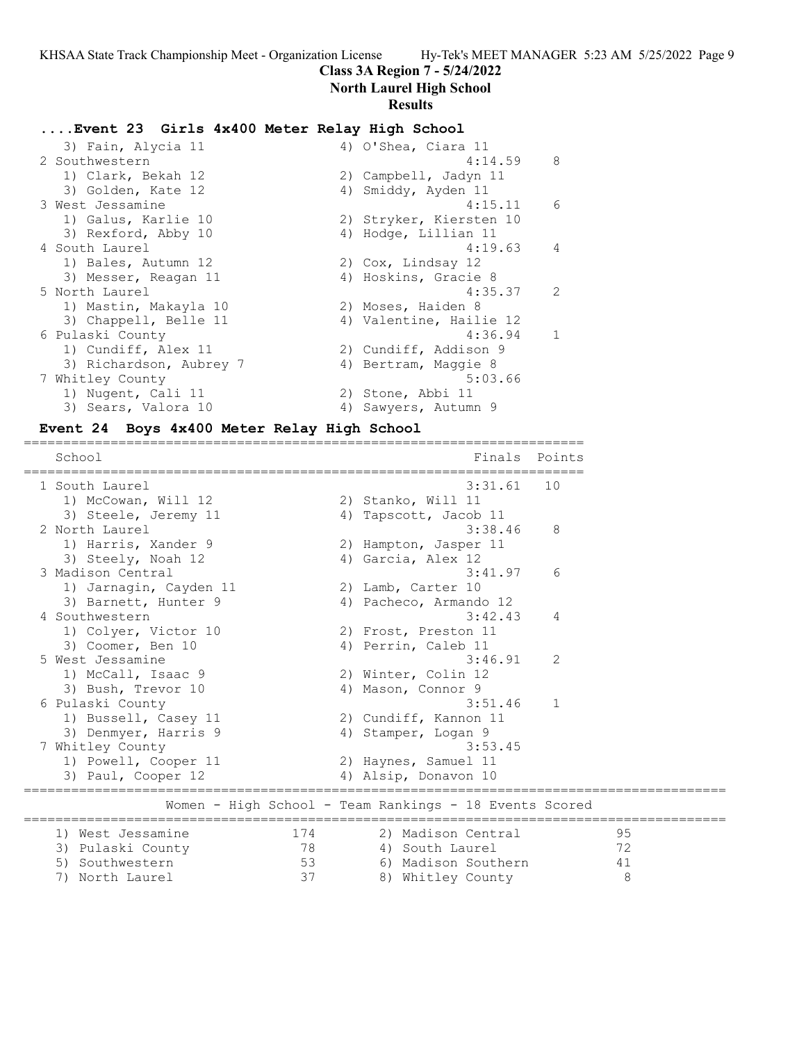# **Class 3A Region 7 - 5/24/2022**

**North Laurel High School**

### **Results**

## **....Event 23 Girls 4x400 Meter Relay High School**

| 3) Fain, Alycia 11      | 4) O'Shea, Ciara 11     |                |
|-------------------------|-------------------------|----------------|
| 2 Southwestern          | 4:14.59                 | 8              |
| 1) Clark, Bekah 12      | 2) Campbell, Jadyn 11   |                |
| 3) Golden, Kate 12      | 4) Smiddy, Ayden 11     |                |
| 3 West Jessamine        | 4:15.11                 | 6              |
| 1) Galus, Karlie 10     | 2) Stryker, Kiersten 10 |                |
| 3) Rexford, Abby 10     | 4) Hodge, Lillian 11    |                |
| 4 South Laurel          | 4:19.63                 | $\overline{4}$ |
| 1) Bales, Autumn 12     | 2) Cox, Lindsay 12      |                |
| 3) Messer, Reagan 11    | 4) Hoskins, Gracie 8    |                |
| 5 North Laurel          | 4:35.37                 | $\mathcal{L}$  |
| 1) Mastin, Makayla 10   | 2) Moses, Haiden 8      |                |
| 3) Chappell, Belle 11   | 4) Valentine, Hailie 12 |                |
| 6 Pulaski County        | 4:36.94                 | $\mathbf{1}$   |
| 1) Cundiff, Alex 11     | 2) Cundiff, Addison 9   |                |
| 3) Richardson, Aubrey 7 | 4) Bertram, Maggie 8    |                |
| 7 Whitley County        | 5:03.66                 |                |
| 1) Nugent, Cali 11      | 2) Stone, Abbi 11       |                |
| 3) Sears, Valora 10     | 4) Sawyers, Autumn 9    |                |

### **Event 24 Boys 4x400 Meter Relay High School** =======================================================================

| School                                                        |          | Finals                                                 | Points   |
|---------------------------------------------------------------|----------|--------------------------------------------------------|----------|
| 1 South Laurel<br>1) McCowan, Will 12<br>3) Steele, Jeremy 11 | 4)       | 3:31.61<br>2) Stanko, Will 11<br>Tapscott, Jacob 11    | 10       |
| 2 North Laurel<br>1) Harris, Xander 9                         |          | 3:38.46<br>2) Hampton, Jasper 11                       | 8        |
| 3) Steely, Noah 12<br>3 Madison Central                       |          | 4) Garcia, Alex 12<br>3:41.97                          | 6        |
| 1) Jarnagin, Cayden 11<br>3) Barnett, Hunter 9                |          | 2) Lamb, Carter 10<br>4) Pacheco, Armando 12           |          |
| 4 Southwestern<br>1) Colyer, Victor 10                        |          | 3:42.43<br>2) Frost, Preston 11                        | 4        |
| 3) Coomer, Ben 10<br>5 West Jessamine                         |          | 4) Perrin, Caleb 11<br>3:46.91                         | 2        |
| 1) McCall, Isaac 9<br>3) Bush, Trevor 10                      |          | 2) Winter, Colin 12<br>4) Mason, Connor 9              |          |
| 6 Pulaski County<br>1) Bussell, Casey 11                      |          | 3:51.46<br>2) Cundiff, Kannon 11                       | 1        |
| 3) Denmyer, Harris 9<br>7 Whitley County                      |          | 4) Stamper, Logan 9<br>3:53.45                         |          |
| 1) Powell, Cooper 11<br>3) Paul, Cooper 12                    |          | 2) Haynes, Samuel 11<br>4) Alsip, Donavon 10           |          |
|                                                               |          | Women - High School - Team Rankings - 18 Events Scored |          |
| 1) West Jessamine                                             | 174      | 2) Madison Central                                     | 95       |
| 3) Pulaski County<br>5) Southwestern                          | 78<br>53 | 4) South Laurel<br>6) Madison Southern                 | 72<br>41 |
| 7) North Laurel                                               | 37       | 8) Whitley County                                      | 8        |